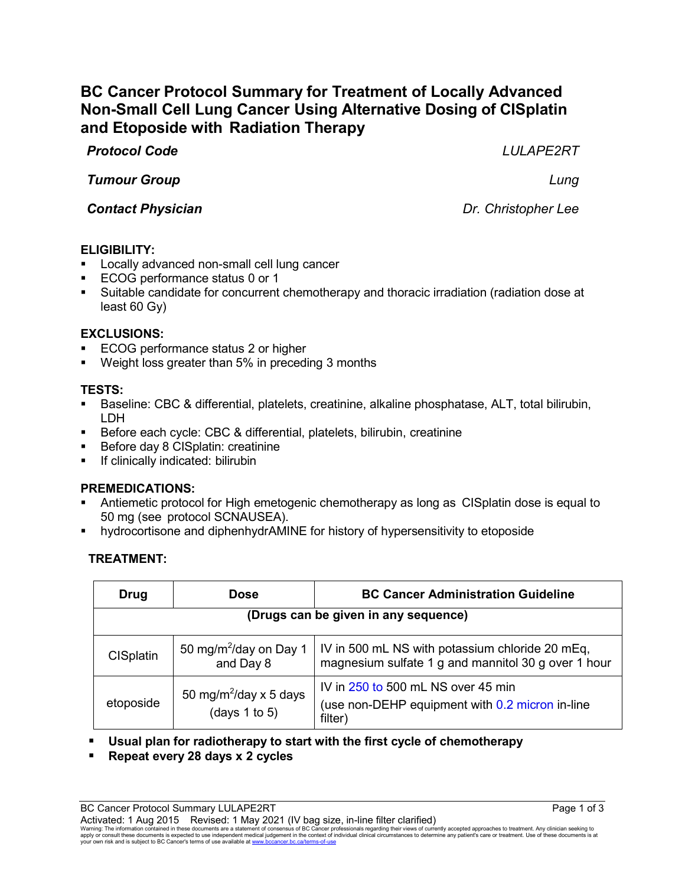# **BC Cancer Protocol Summary for Treatment of Locally Advanced Non-Small Cell Lung Cancer Using Alternative Dosing of CISplatin and Etoposide with Radiation Therapy**

*Protocol Code LULAPE2RT*

*Tumour Group Lung*

*Contact Physician Dr. Christopher Lee*

## **ELIGIBILITY:**

- Locally advanced non-small cell lung cancer
- ECOG performance status 0 or 1
- Suitable candidate for concurrent chemotherapy and thoracic irradiation (radiation dose at least 60 Gy)

## **EXCLUSIONS:**

- ECOG performance status 2 or higher
- Weight loss greater than 5% in preceding 3 months

### **TESTS:**

- Baseline: CBC & differential, platelets, creatinine, alkaline phosphatase, ALT, total bilirubin, LDH
- Before each cycle: CBC & differential, platelets, bilirubin, creatinine
- Before day 8 CISplatin: creatinine
- **If clinically indicated: bilirubin**

## **PREMEDICATIONS:**

- Antiemetic protocol for High emetogenic chemotherapy as long as CISplatin dose is equal to 50 mg (see protocol SCNAUSEA).
- hydrocortisone and diphenhydrAMINE for history of hypersensitivity to etoposide

## **TREATMENT:**

| Drug                                 | <b>Dose</b>                                         | <b>BC Cancer Administration Guideline</b>                                                              |  |  |
|--------------------------------------|-----------------------------------------------------|--------------------------------------------------------------------------------------------------------|--|--|
| (Drugs can be given in any sequence) |                                                     |                                                                                                        |  |  |
| <b>CISplatin</b>                     | 50 mg/m <sup>2</sup> /day on Day 1<br>and Day 8     | IV in 500 mL NS with potassium chloride 20 mEq,<br>magnesium sulfate 1 g and mannitol 30 g over 1 hour |  |  |
| etoposide                            | 50 mg/m <sup>2</sup> /day x 5 days<br>(days 1 to 5) | IV in 250 to 500 mL NS over 45 min<br>(use non-DEHP equipment with 0.2 micron in-line<br>filter)       |  |  |

**Usual plan for radiotherapy to start with the first cycle of chemotherapy**

**Repeat every 28 days x 2 cycles**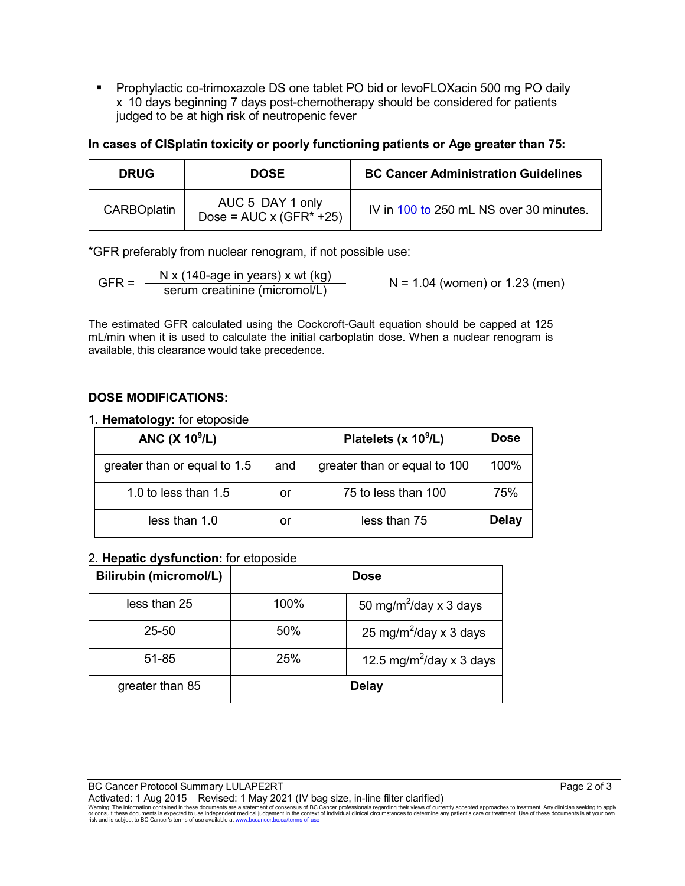**Prophylactic co-trimoxazole DS one tablet PO bid or levoFLOXacin 500 mg PO daily** x 10 days beginning 7 days post-chemotherapy should be considered for patients judged to be at high risk of neutropenic fever

#### **In cases of CISplatin toxicity or poorly functioning patients or Age greater than 75:**

| <b>DRUG</b>        | <b>DOSE</b>                                         | <b>BC Cancer Administration Guidelines</b> |
|--------------------|-----------------------------------------------------|--------------------------------------------|
| <b>CARBOplatin</b> | AUC 5 DAY 1 only<br>Dose = $AUC \times (GFR^* +25)$ | IV in 100 to 250 mL NS over 30 minutes.    |

\*GFR preferably from nuclear renogram, if not possible use:

$$
GFR = \frac{N x (140 \text{-age in years}) x wt (kg)}{serum creationine (micromol/L)}
$$
 N = 1.04 (women) or 1.23 (men)

The estimated GFR calculated using the Cockcroft-Gault equation should be capped at 125 mL/min when it is used to calculate the initial carboplatin dose. When a nuclear renogram is available, this clearance would take precedence.

#### **DOSE MODIFICATIONS:**

#### 1. **Hematology:** for etoposide

| ANC $(X 10^9/L)$             |     | Platelets (x 10 <sup>9</sup> /L) | <b>Dose</b>  |
|------------------------------|-----|----------------------------------|--------------|
| greater than or equal to 1.5 | and | greater than or equal to 100     | 100%         |
| 1.0 to less than $1.5$       | or  | 75 to less than 100              | 75%          |
| less than $1.0$              | or  | less than 75                     | <b>Delay</b> |

#### 2. **Hepatic dysfunction:** for etoposide

| <b>Bilirubin (micromol/L)</b> | <b>Dose</b> |                                      |  |
|-------------------------------|-------------|--------------------------------------|--|
| less than 25                  | 100%        | 50 mg/m <sup>2</sup> /day x 3 days   |  |
| 25-50                         | 50%         | 25 mg/m <sup>2</sup> /day x 3 days   |  |
| 51-85                         | 25%         | 12.5 mg/m <sup>2</sup> /day x 3 days |  |
| greater than 85               |             | <b>Delay</b>                         |  |

BC Cancer Protocol Summary LULAPE2RT **Page 2 of 3** and 3

Activated: 1 Aug 2015 Revised: 1 May 2021 (IV bag size, in-line filter clarified)<br>Warning: The information contained in these documents are a statement of consensus of BC Cancer professionals regarding their views of cur